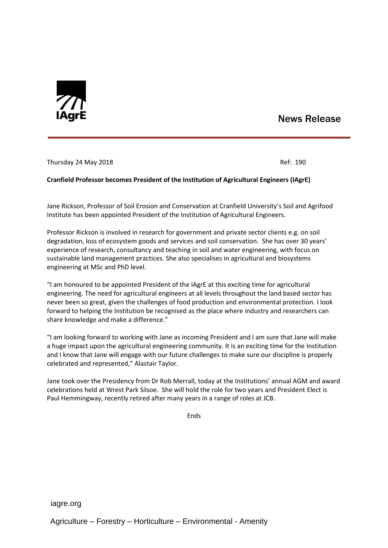

## News Release

Thursday 24 May 2018 **Ref: 190** 

## **Cranfield Professor becomes President of the Institution of Agricultural Engineers (IAgrE)**

Jane Rickson, Professor of Soil Erosion and Conservation at Cranfield University's Soil and Agrifood Institute has been appointed President of the Institution of Agricultural Engineers.

Professor Rickson is involved in research for government and private sector clients e.g. on soil degradation, loss of ecosystem goods and services and soil conservation. She has over 30 years' experience of research, consultancy and teaching in soil and water engineering, with focus on sustainable land management practices. She also specialises in agricultural and biosystems engineering at MSc and PhD level.

"I am honoured to be appointed President of the IAgrE at this exciting time for agricultural engineering. The need for agricultural engineers at all levels throughout the land based sector has never been so great, given the challenges of food production and environmental protection. I look forward to helping the Institution be recognised as the place where industry and researchers can share knowledge and make a difference."

"I am looking forward to working with Jane as incoming President and I am sure that Jane will make a huge impact upon the agricultural engineering community. It is an exciting time for the Institution and I know that Jane will engage with our future challenges to make sure our discipline is properly celebrated and represented," Alastair Taylor.

Jane took over the Presidency from Dr Rob Merrall, today at the Institutions' annual AGM and award celebrations held at Wrest Park Silsoe. She will hold the role for two years and President Elect is Paul Hemmingway, recently retired after many years in a range of roles at JCB.

Ends

iagre.org

Agriculture – Forestry – Horticulture – Environmental - Amenity